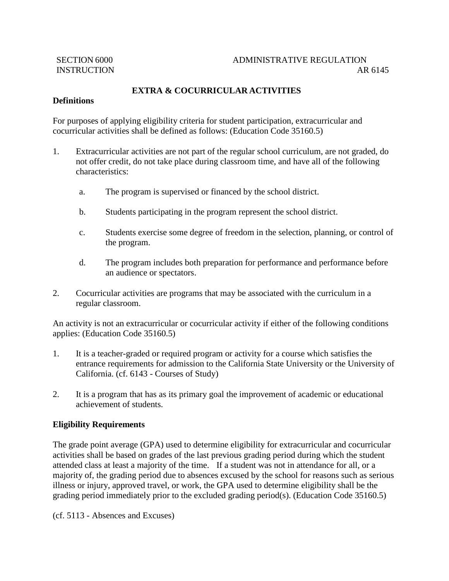## **EXTRA & COCURRICULAR ACTIVITIES**

## **Definitions**

For purposes of applying eligibility criteria for student participation, extracurricular and cocurricular activities shall be defined as follows: (Education Code 35160.5)

- 1. Extracurricular activities are not part of the regular school curriculum, are not graded, do not offer credit, do not take place during classroom time, and have all of the following characteristics:
	- a. The program is supervised or financed by the school district.
	- b. Students participating in the program represent the school district.
	- c. Students exercise some degree of freedom in the selection, planning, or control of the program.
	- d. The program includes both preparation for performance and performance before an audience or spectators.
- 2. Cocurricular activities are programs that may be associated with the curriculum in a regular classroom.

An activity is not an extracurricular or cocurricular activity if either of the following conditions applies: (Education Code 35160.5)

- 1. It is a teacher-graded or required program or activity for a course which satisfies the entrance requirements for admission to the California State University or the University of California. (cf. 6143 - Courses of Study)
- 2. It is a program that has as its primary goal the improvement of academic or educational achievement of students.

## **Eligibility Requirements**

The grade point average (GPA) used to determine eligibility for extracurricular and cocurricular activities shall be based on grades of the last previous grading period during which the student attended class at least a majority of the time. If a student was not in attendance for all, or a majority of, the grading period due to absences excused by the school for reasons such as serious illness or injury, approved travel, or work, the GPA used to determine eligibility shall be the grading period immediately prior to the excluded grading period(s). (Education Code 35160.5)

(cf. 5113 - Absences and Excuses)